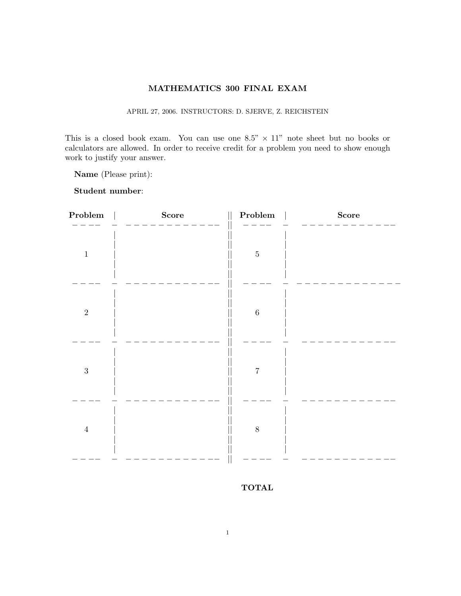## MATHEMATICS 300 FINAL EXAM

APRIL 27, 2006. INSTRUCTORS: D. SJERVE, Z. REICHSTEIN

This is a closed book exam. You can use one  $8.5" \times 11"$  note sheet but no books or calculators are allowed. In order to receive credit for a problem you need to show enough work to justify your answer.

Name (Please print):

Student number:

| ${\bf Problem}$ | Score | Problem        | <b>Score</b> |
|-----------------|-------|----------------|--------------|
| $\,1\,$         |       | $\bf 5$        |              |
| $\sqrt{2}$      |       | $\,$ 6 $\,$    |              |
| $\sqrt{3}$      |       | $\overline{7}$ |              |
| $\sqrt{4}$      |       | $\,$ $\,$      |              |
|                 |       |                |              |

TOTAL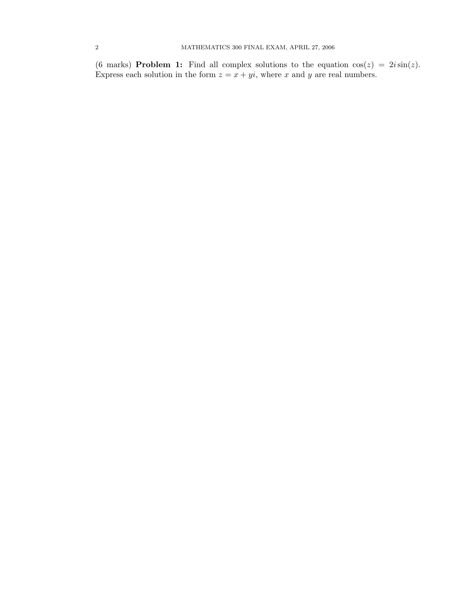(6 marks) **Problem 1:** Find all complex solutions to the equation  $cos(z) = 2i sin(z)$ . Express each solution in the form  $z = x + yi$ , where x and y are real numbers.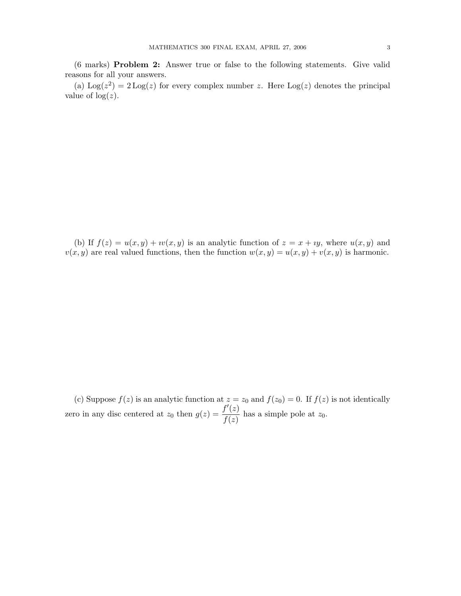(6 marks) Problem 2: Answer true or false to the following statements. Give valid reasons for all your answers.

(a)  $\text{Log}(z^2) = 2 \text{Log}(z)$  for every complex number z. Here  $\text{Log}(z)$  denotes the principal value of  $log(z)$ .

(b) If  $f(z) = u(x, y) + iv(x, y)$  is an analytic function of  $z = x + iy$ , where  $u(x, y)$  and  $v(x, y)$  are real valued functions, then the function  $w(x, y) = u(x, y) + v(x, y)$  is harmonic.

(c) Suppose  $f(z)$  is an analytic function at  $z = z_0$  and  $f(z_0) = 0$ . If  $f(z)$  is not identically zero in any disc centered at  $z_0$  then  $g(z) = \frac{f'(z)}{f'(z)}$  $\frac{f(z)}{f(z)}$  has a simple pole at  $z_0$ .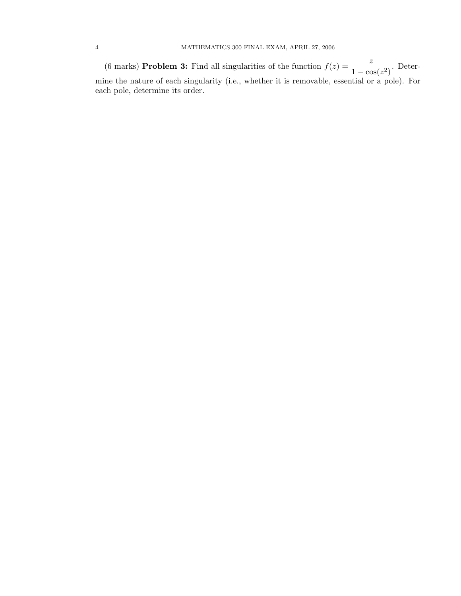(6 marks) **Problem 3:** Find all singularities of the function  $f(z) = \frac{z}{1 - \cos(z^2)}$ . Determine the nature of each singularity (i.e., whether it is removable, essential or a pole). For each pole, determine its order.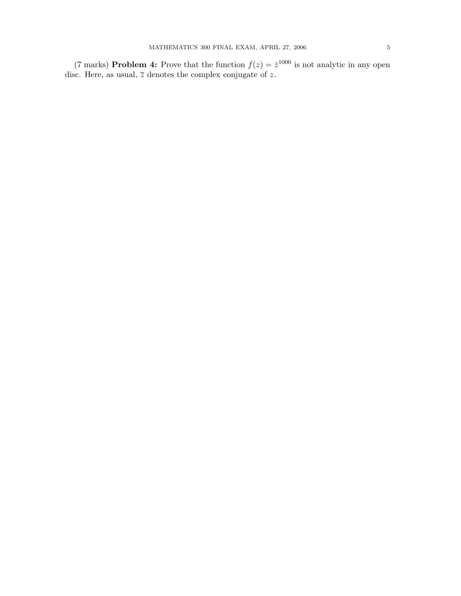(7 marks) **Problem 4:** Prove that the function  $f(z) = \bar{z}^{1000}$  is not analytic in any open disc. Here, as usual,  $\overline{z}$  denotes the complex conjugate of z.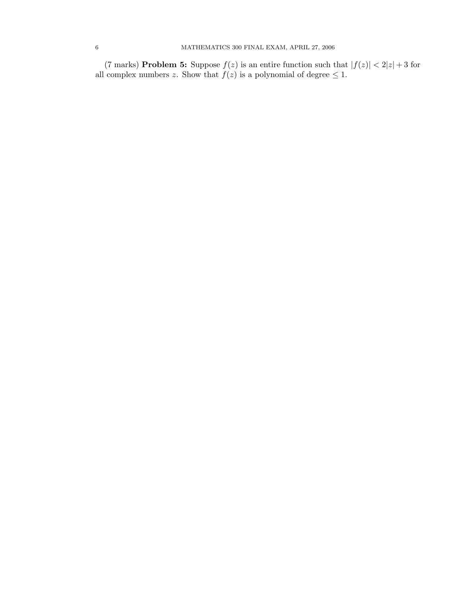(7 marks) **Problem 5:** Suppose  $f(z)$  is an entire function such that  $|f(z)| < 2|z| + 3$  for all complex numbers z. Show that  $f(z)$  is a polynomial of degree  $\leq 1$ .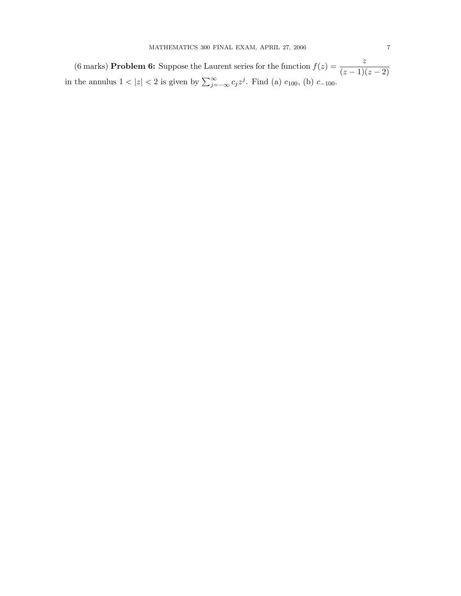(6 marks) **Problem 6:** Suppose the Laurent series for the function  $f(z) = \frac{z}{(z-1)(z-2)}$ in the annulus  $1 < |z| < 2$  is given by  $\sum_{j=-\infty}^{\infty} c_j z^j$ . Find (a)  $c_{100}$ , (b)  $c_{-100}$ .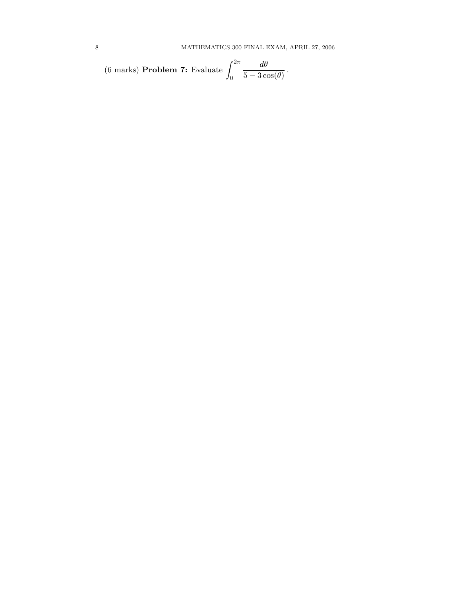(6 marks) **Problem 7:** Evaluate 
$$
\int_0^{2\pi} \frac{d\theta}{5 - 3\cos(\theta)}.
$$